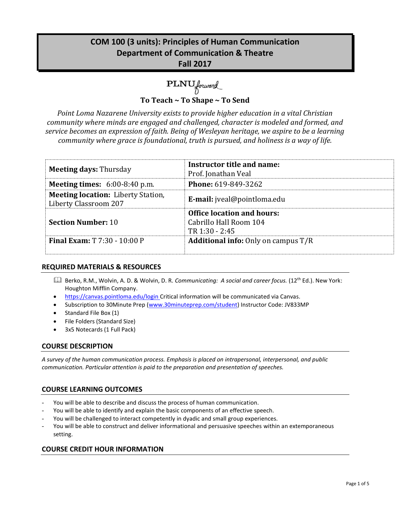# **COM 100 (3 units): Principles of Human Communication Department of Communication & Theatre Fall 2017**

PLNU forward

**To Teach ~ To Shape ~ To Send**

*Point Loma Nazarene University exists to provide higher education in a vital Christian community where minds are engaged and challenged, character is modeled and formed, and service becomes an expression of faith. Being of Wesleyan heritage, we aspire to be a learning community where grace is foundational, truth is pursued, and holiness is a way of life.*

| <b>Meeting days: Thursday</b>                                      | Instructor title and name:<br>Prof. Jonathan Veal                             |
|--------------------------------------------------------------------|-------------------------------------------------------------------------------|
| <b>Meeting times:</b> $6:00-8:40$ p.m.                             | <b>Phone: 619-849-3262</b>                                                    |
| <b>Meeting location:</b> Liberty Station,<br>Liberty Classroom 207 | <b>E-mail:</b> jveal@pointloma.edu                                            |
| <b>Section Number: 10</b>                                          | <b>Office location and hours:</b><br>Cabrillo Hall Room 104<br>TR 1:30 - 2:45 |
| <b>Final Exam: T 7:30 - 10:00 P</b>                                | <b>Additional info:</b> Only on campus T/R                                    |

# **REQUIRED MATERIALS & RESOURCES**

- Berko, R.M., Wolvin, A. D. & Wolvin, D. R. *Communicating: A social and career focus.* (12th Ed.). New York: Houghton Mifflin Company.
- https://canvas.pointloma.edu/login Critical information will be communicated via Canvas.
- Subscription to 30Minute Prep [\(www.30minuteprep.com/student\)](http://www.30minuteprep.com/student) Instructor Code: JV833MP
- Standard File Box (1)
- File Folders (Standard Size)
- 3x5 Notecards (1 Full Pack)

# **COURSE DESCRIPTION**

*A survey of the human communication process. Emphasis is placed on intrapersonal, interpersonal, and public communication. Particular attention is paid to the preparation and presentation of speeches.*

# **COURSE LEARNING OUTCOMES**

- You will be able to describe and discuss the process of human communication.
- You will be able to identify and explain the basic components of an effective speech.
- You will be challenged to interact competently in dyadic and small group experiences.
- You will be able to construct and deliver informational and persuasive speeches within an extemporaneous setting.

#### **COURSE CREDIT HOUR INFORMATION**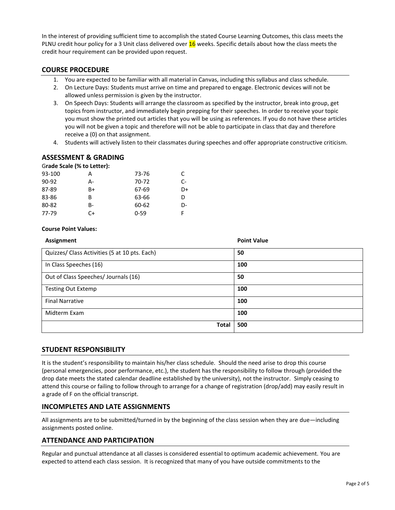In the interest of providing sufficient time to accomplish the stated Course Learning Outcomes, this class meets the PLNU credit hour policy for a 3 Unit class delivered over 16 weeks. Specific details about how the class meets the credit hour requirement can be provided upon request.

#### **COURSE PROCEDURE**

- 1. You are expected to be familiar with all material in Canvas, including this syllabus and class schedule.
- 2. On Lecture Days: Students must arrive on time and prepared to engage. Electronic devices will not be allowed unless permission is given by the instructor.
- 3. On Speech Days: Students will arrange the classroom as specified by the instructor, break into group, get topics from instructor, and immediately begin prepping for their speeches. In order to receive your topic you must show the printed out articles that you will be using as references. If you do not have these articles you will not be given a topic and therefore will not be able to participate in class that day and therefore receive a (0) on that assignment.
- 4. Students will actively listen to their classmates during speeches and offer appropriate constructive criticism.

# **ASSESSMENT & GRADING**

| Grade Scale (% to Letter): |          |      |
|----------------------------|----------|------|
| А                          | 73-76    | C    |
| А-                         | 70-72    | $C-$ |
| B+                         | 67-69    | D+   |
| B                          | 63-66    | D    |
| B-                         | 60-62    | D-   |
| C+                         | $0 - 59$ |      |
|                            |          |      |

#### **Course Point Values:**

| Assignment                                    | <b>Point Value</b> |
|-----------------------------------------------|--------------------|
| Quizzes/ Class Activities (5 at 10 pts. Each) | 50                 |
| In Class Speeches (16)                        | 100                |
| Out of Class Speeches/ Journals (16)          | 50                 |
| <b>Testing Out Extemp</b>                     | 100                |
| <b>Final Narrative</b>                        | 100                |
| Midterm Exam                                  | 100                |
| <b>Total</b>                                  | 500                |

#### **STUDENT RESPONSIBILITY**

It is the student's responsibility to maintain his/her class schedule. Should the need arise to drop this course (personal emergencies, poor performance, etc.), the student has the responsibility to follow through (provided the drop date meets the stated calendar deadline established by the university), not the instructor. Simply ceasing to attend this course or failing to follow through to arrange for a change of registration (drop/add) may easily result in a grade of F on the official transcript.

#### **INCOMPLETES AND LATE ASSIGNMENTS**

All assignments are to be submitted/turned in by the beginning of the class session when they are due—including assignments posted online.

#### **ATTENDANCE AND PARTICIPATION**

Regular and punctual attendance at all classes is considered essential to optimum academic achievement. You are expected to attend each class session. It is recognized that many of you have outside commitments to the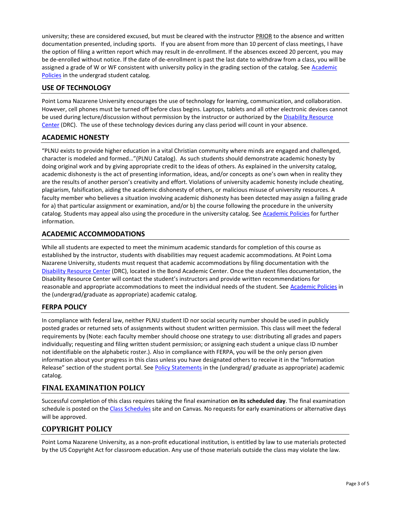university; these are considered excused, but must be cleared with the instructor PRIOR to the absence and written documentation presented, including sports. If you are absent from more than 10 percent of class meetings, I have the option of filing a written report which may result in de-enrollment. If the absences exceed 20 percent, you may be de-enrolled without notice. If the date of de-enrollment is past the last date to withdraw from a class, you will be assigned a grade of W or WF consistent with university policy in the grading section of the catalog. See Academic [Policies](http://www.pointloma.edu/experience/academics/catalogs/undergraduate-catalog/point-loma-education/academic-policies) in the undergrad student catalog.

# **USE OF TECHNOLOGY**

Point Loma Nazarene University encourages the use of technology for learning, communication, and collaboration. However, cell phones must be turned off before class begins. Laptops, tablets and all other electronic devices cannot be used during lecture/discussion without permission by the instructor or authorized by the [Disability Resource](http://www.pointloma.edu/experience/offices/administrative-offices/academic-advising-office/disability-resource-center)  [Center](http://www.pointloma.edu/experience/offices/administrative-offices/academic-advising-office/disability-resource-center) (DRC). The use of these technology devices during any class period will count in your absence.

#### **ACADEMIC HONESTY**

"PLNU exists to provide higher education in a vital Christian community where minds are engaged and challenged, character is modeled and formed…"(PLNU Catalog). As such students should demonstrate academic honesty by doing original work and by giving appropriate credit to the ideas of others. As explained in the university catalog, academic dishonesty is the act of presenting information, ideas, and/or concepts as one's own when in reality they are the results of another person's creativity and effort. Violations of university academic honesty include cheating, plagiarism, falsification, aiding the academic dishonesty of others, or malicious misuse of university resources. A faculty member who believes a situation involving academic dishonesty has been detected may assign a failing grade for a) that particular assignment or examination, and/or b) the course following the procedure in the university catalog. Students may appeal also using the procedure in the university catalog. Se[e Academic Policies](http://www.pointloma.edu/experience/academics/catalogs/undergraduate-catalog/point-loma-education/academic-policies) for further information.

# **ACADEMIC ACCOMMODATIONS**

While all students are expected to meet the minimum academic standards for completion of this course as established by the instructor, students with disabilities may request academic accommodations. At Point Loma Nazarene University, students must request that academic accommodations by filing documentation with the [Disability Resource Center](http://www.pointloma.edu/experience/offices/administrative-offices/academic-advising-office/disability-resource-center) (DRC), located in the Bond Academic Center. Once the student files documentation, the Disability Resource Center will contact the student's instructors and provide written recommendations for reasonable and appropriate accommodations to meet the individual needs of the student. See [Academic Policies](http://www.pointloma.edu/experience/academics/catalogs/undergraduate-catalog/point-loma-education/academic-policies) in the (undergrad/graduate as appropriate) academic catalog.

#### **FERPA POLICY**

In compliance with federal law, neither PLNU student ID nor social security number should be used in publicly posted grades or returned sets of assignments without student written permission. This class will meet the federal requirements by (Note: each faculty member should choose one strategy to use: distributing all grades and papers individually; requesting and filing written student permission; or assigning each student a unique class ID number not identifiable on the alphabetic roster.). Also in compliance with FERPA, you will be the only person given information about your progress in this class unless you have designated others to receive it in the "Information Release" section of the student portal. See [Policy Statements](http://www.pointloma.edu/experience/academics/catalogs/undergraduate-catalog/policy-statements) in the (undergrad/ graduate as appropriate) academic catalog.

# **FINAL EXAMINATION POLICY**

Successful completion of this class requires taking the final examination **on its scheduled day**. The final examination schedule is posted on th[e Class Schedules](http://www.pointloma.edu/experience/academics/class-schedules) site and on Canvas. No requests for early examinations or alternative days will be approved.

# **COPYRIGHT POLICY**

Point Loma Nazarene University, as a non-profit educational institution, is entitled by law to use materials protected by the US Copyright Act for classroom education. Any use of those materials outside the class may violate the law.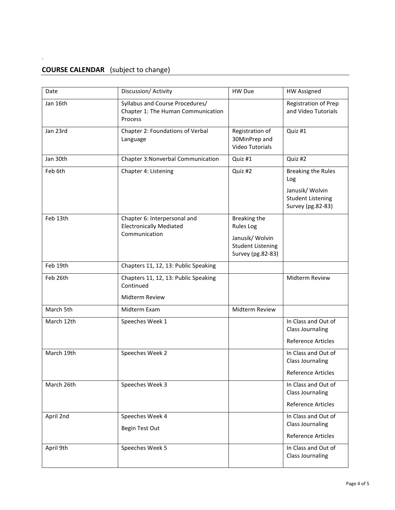# **COURSE CALENDAR** (subject to change)

.

| Date       | Discussion/ Activity                                                             | HW Due                                                           | <b>HW Assigned</b>                                                              |
|------------|----------------------------------------------------------------------------------|------------------------------------------------------------------|---------------------------------------------------------------------------------|
| Jan 16th   | Syllabus and Course Procedures/<br>Chapter 1: The Human Communication<br>Process |                                                                  | Registration of Prep<br>and Video Tutorials                                     |
| Jan 23rd   | Chapter 2: Foundations of Verbal<br>Language                                     | Registration of<br>30MinPrep and<br><b>Video Tutorials</b>       | Quiz #1                                                                         |
| Jan 30th   | Chapter 3: Nonverbal Communication                                               | Quiz #1                                                          | Quiz #2                                                                         |
| Feb 6th    | Chapter 4: Listening                                                             | Quiz #2                                                          | <b>Breaking the Rules</b><br>Log<br>Janusik/ Wolvin<br><b>Student Listening</b> |
|            |                                                                                  |                                                                  | Survey (pg.82-83)                                                               |
| Feb 13th   | Chapter 6: Interpersonal and<br><b>Electronically Mediated</b>                   | Breaking the<br><b>Rules Log</b>                                 |                                                                                 |
|            | Communication                                                                    | Janusik/ Wolvin<br><b>Student Listening</b><br>Survey (pg.82-83) |                                                                                 |
| Feb 19th   | Chapters 11, 12, 13: Public Speaking                                             |                                                                  |                                                                                 |
| Feb 26th   | Chapters 11, 12, 13: Public Speaking<br>Continued                                |                                                                  | Midterm Review                                                                  |
|            | <b>Midterm Review</b>                                                            |                                                                  |                                                                                 |
| March 5th  | Midterm Exam                                                                     | Midterm Review                                                   |                                                                                 |
| March 12th | Speeches Week 1                                                                  |                                                                  | In Class and Out of<br><b>Class Journaling</b>                                  |
|            |                                                                                  |                                                                  | <b>Reference Articles</b>                                                       |
| March 19th | Speeches Week 2                                                                  |                                                                  | In Class and Out of<br><b>Class Journaling</b>                                  |
|            |                                                                                  |                                                                  | Reference Articles                                                              |
| March 26th | Speeches Week 3                                                                  |                                                                  | In Class and Out of<br><b>Class Journaling</b>                                  |
|            |                                                                                  |                                                                  | <b>Reference Articles</b>                                                       |
| April 2nd  | Speeches Week 4<br>Begin Test Out                                                |                                                                  | In Class and Out of<br><b>Class Journaling</b>                                  |
|            |                                                                                  |                                                                  | <b>Reference Articles</b>                                                       |
| April 9th  | Speeches Week 5                                                                  |                                                                  | In Class and Out of<br><b>Class Journaling</b>                                  |